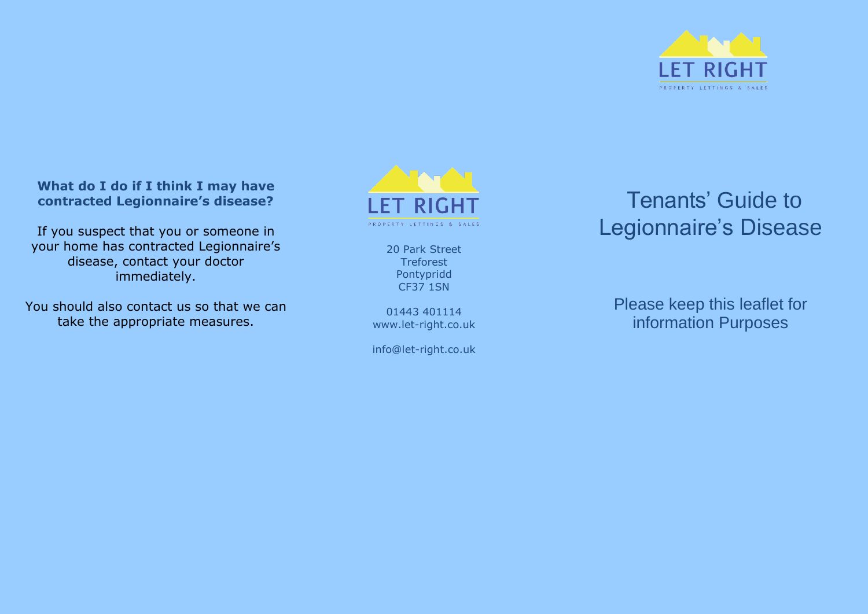

# **What do I do if I think I may have contracted Legionnaire's disease?**

If you suspect that you or someone in your home has contracted Legionnaire's disease, contact your doctor immediately.

You should also contact us so that we can take the appropriate measures.



20 Park Street **Treforest** Pontypridd CF37 1SN

01443 401114 www.let -right.co.uk

info@let -right.co.uk

# Tenants' Guide to Legionnaire's Disease

Please keep this leaflet for information Purposes